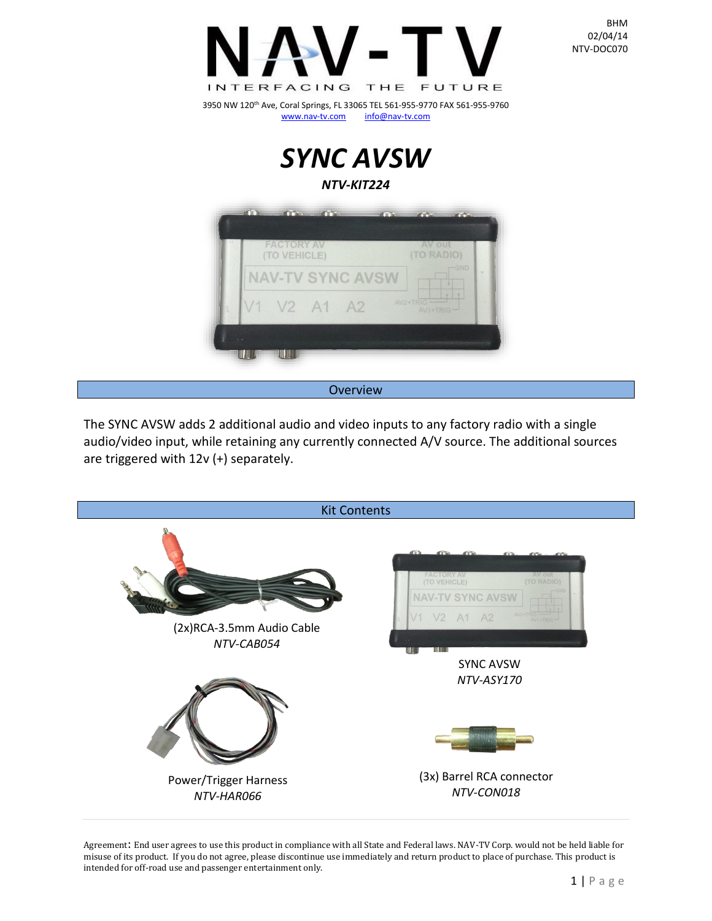



Overview

The SYNC AVSW adds 2 additional audio and video inputs to any factory radio with a single audio/video input, while retaining any currently connected A/V source. The additional sources are triggered with 12v (+) separately.



Agreement: End user agrees to use this product in compliance with all State and Federal laws. NAV-TV Corp. would not be held liable for misuse of its product. If you do not agree, please discontinue use immediately and return product to place of purchase. This product is intended for off-road use and passenger entertainment only.

BHM 02/04/14 NTV-DOC070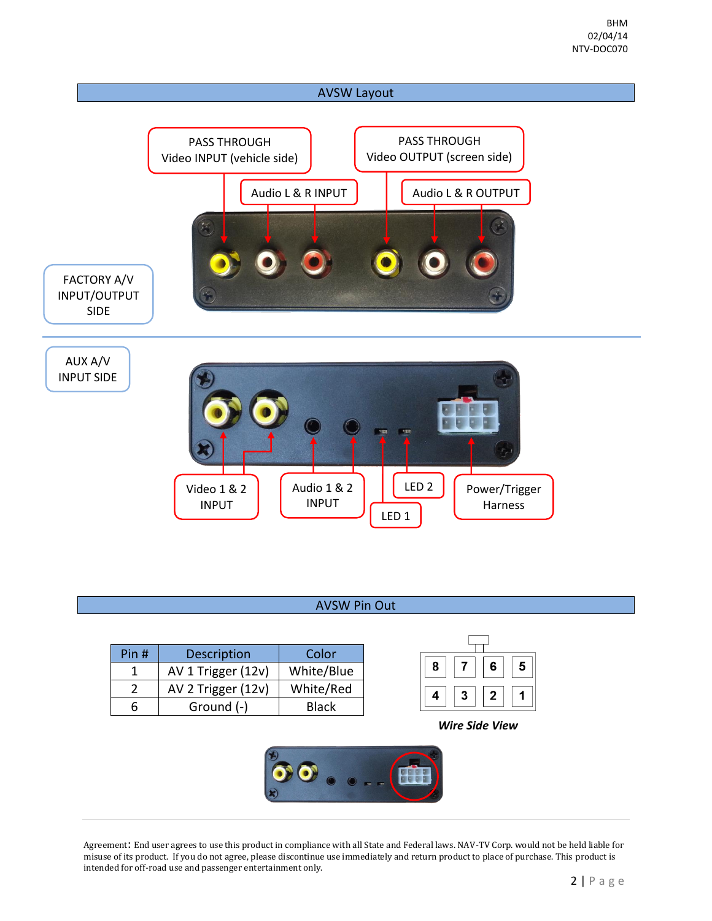

## AVSW Pin Out

| Pin #    | <b>Description</b> | Color        |  |
|----------|--------------------|--------------|--|
|          | AV 1 Trigger (12v) | White/Blue   |  |
| <u>)</u> | AV 2 Trigger (12v) | White/Red    |  |
|          | Ground (-)         | <b>Black</b> |  |

| 8 |   | 6 | 5 |  |  |  |  |  |
|---|---|---|---|--|--|--|--|--|
|   | 3 | 2 |   |  |  |  |  |  |

*Wire Side View*

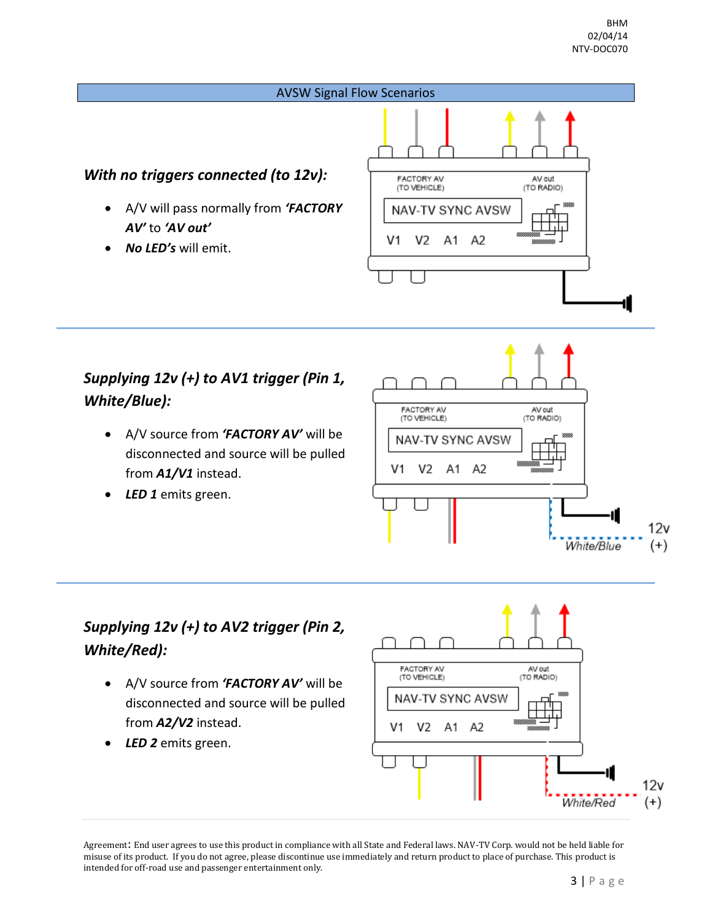

## *Supplying 12v (+) to AV1 trigger (Pin 1, White/Blue):*

- A/V source from *'FACTORY AV'* will be disconnected and source will be pulled from *A1/V1* instead.
- *LED 1* emits green.



## *Supplying 12v (+) to AV2 trigger (Pin 2, White/Red):*

- A/V source from *'FACTORY AV'* will be disconnected and source will be pulled from *A2/V2* instead.
- *LED 2* emits green.

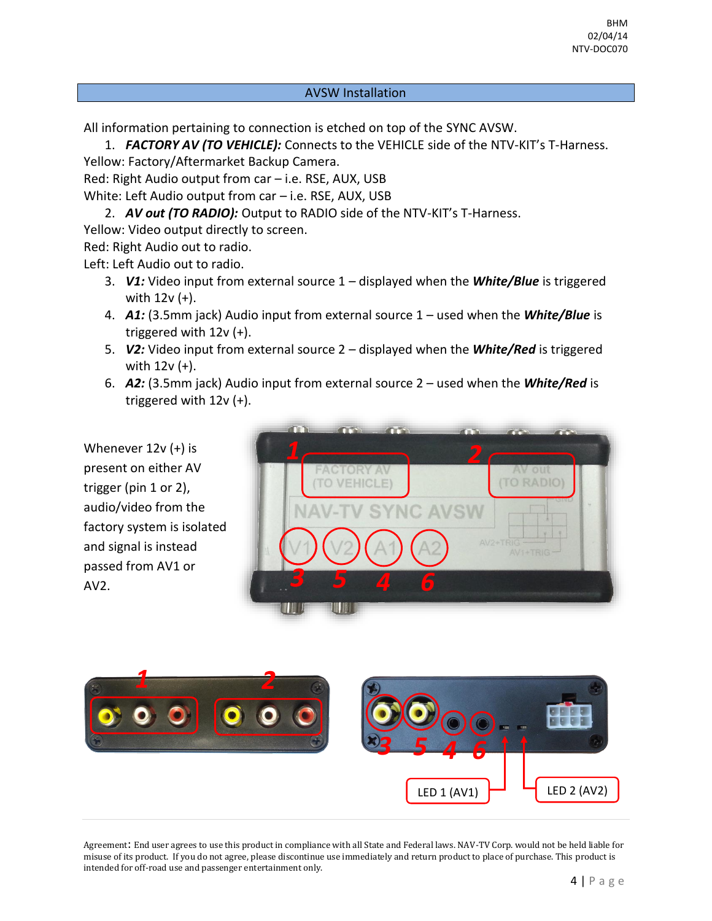## AVSW Installation

All information pertaining to connection is etched on top of the SYNC AVSW.

1. *FACTORY AV (TO VEHICLE):* Connects to the VEHICLE side of the NTV-KIT's T-Harness.

Yellow: Factory/Aftermarket Backup Camera.

Red: Right Audio output from car – i.e. RSE, AUX, USB

White: Left Audio output from car – i.e. RSE, AUX, USB

2. *AV out (TO RADIO):* Output to RADIO side of the NTV-KIT's T-Harness.

Yellow: Video output directly to screen.

Red: Right Audio out to radio.

Left: Left Audio out to radio.

- 3. *V1:* Video input from external source 1 displayed when the *White/Blue* is triggered with 12v (+).
- 4. *A1:* (3.5mm jack) Audio input from external source 1 used when the *White/Blue* is triggered with 12v (+).
- 5. *V2:* Video input from external source 2 displayed when the *White/Red* is triggered with 12v (+).
- 6. *A2:* (3.5mm jack) Audio input from external source 2 used when the *White/Red* is triggered with 12v (+).

Whenever 12v (+) is present on either AV trigger (pin 1 or 2), audio/video from the factory system is isolated and signal is instead passed from AV1 or AV2.

|                                   | $\mathbf{T}$            | $\mathcal{A}$ is the set |                            |                              |
|-----------------------------------|-------------------------|--------------------------|----------------------------|------------------------------|
|                                   |                         |                          |                            |                              |
| <b>FACTORY AT</b><br>(TO VEHICLE) |                         |                          | AV out<br><b>TO RADIO)</b> |                              |
|                                   | <b>NAV-TV SYNC AVSW</b> |                          |                            | <b>SIXL</b><br>$\rightarrow$ |
|                                   |                         |                          | AV2+TRIG<br>$AV1+TRIG -$   |                              |
|                                   | И<br>ő                  |                          |                            |                              |
|                                   |                         |                          |                            |                              |